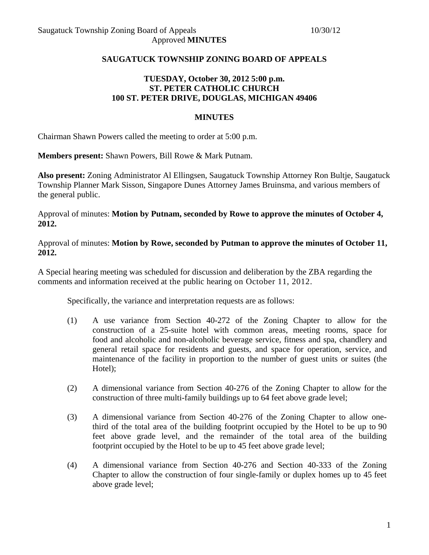## **SAUGATUCK TOWNSHIP ZONING BOARD OF APPEALS**

# **TUESDAY, October 30, 2012 5:00 p.m. ST. PETER CATHOLIC CHURCH 100 ST. PETER DRIVE, DOUGLAS, MICHIGAN 49406**

## **MINUTES**

Chairman Shawn Powers called the meeting to order at 5:00 p.m.

**Members present:** Shawn Powers, Bill Rowe & Mark Putnam.

**Also present:** Zoning Administrator Al Ellingsen, Saugatuck Township Attorney Ron Bultje, Saugatuck Township Planner Mark Sisson, Singapore Dunes Attorney James Bruinsma, and various members of the general public.

Approval of minutes: **Motion by Putnam, seconded by Rowe to approve the minutes of October 4, 2012.** 

Approval of minutes: **Motion by Rowe, seconded by Putman to approve the minutes of October 11, 2012.** 

A Special hearing meeting was scheduled for discussion and deliberation by the ZBA regarding the comments and information received at the public hearing on October 11, 2012.

Specifically, the variance and interpretation requests are as follows:

- (1) A use variance from Section 40-272 of the Zoning Chapter to allow for the construction of a 25-suite hotel with common areas, meeting rooms, space for food and alcoholic and non-alcoholic beverage service, fitness and spa, chandlery and general retail space for residents and guests, and space for operation, service, and maintenance of the facility in proportion to the number of guest units or suites (the Hotel);
- (2) A dimensional variance from Section 40-276 of the Zoning Chapter to allow for the construction of three multi-family buildings up to 64 feet above grade level;
- (3) A dimensional variance from Section 40-276 of the Zoning Chapter to allow onethird of the total area of the building footprint occupied by the Hotel to be up to 90 feet above grade level, and the remainder of the total area of the building footprint occupied by the Hotel to be up to 45 feet above grade level;
- (4) A dimensional variance from Section 40-276 and Section 40-333 of the Zoning Chapter to allow the construction of four single-family or duplex homes up to 45 feet above grade level;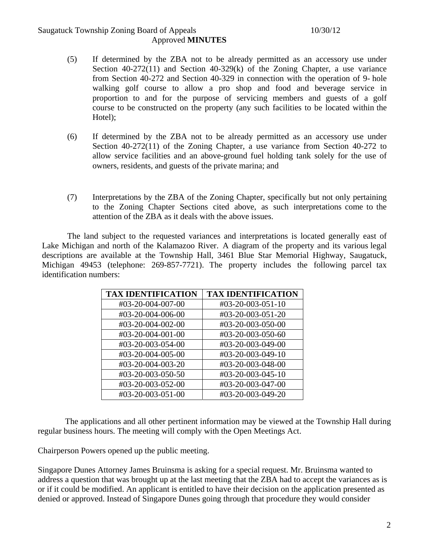# Saugatuck Township Zoning Board of Appeals 10/30/12 Approved **MINUTES**

- (5) If determined by the ZBA not to be already permitted as an accessory use under Section 40-272(11) and Section 40-329(k) of the Zoning Chapter, a use variance from Section 40-272 and Section 40-329 in connection with the operation of 9- hole walking golf course to allow a pro shop and food and beverage service in proportion to and for the purpose of servicing members and guests of a golf course to be constructed on the property (any such facilities to be located within the Hotel);
- (6) If determined by the ZBA not to be already permitted as an accessory use under Section 40-272(11) of the Zoning Chapter, a use variance from Section 40-272 to allow service facilities and an above-ground fuel holding tank solely for the use of owners, residents, and guests of the private marina; and
- (7) Interpretations by the ZBA of the Zoning Chapter, specifically but not only pertaining to the Zoning Chapter Sections cited above, as such interpretations come to the attention of the ZBA as it deals with the above issues.

The land subject to the requested variances and interpretations is located generally east of Lake Michigan and north of the Kalamazoo River. A diagram of the property and its various legal descriptions are available at the Township Hall, 3461 Blue Star Memorial Highway, Saugatuck, Michigan 49453 (telephone: 269-857-7721). The property includes the following parcel tax identification numbers:

| <b>TAX IDENTIFICATION</b> | <b>TAX IDENTIFICATION</b> |
|---------------------------|---------------------------|
| #03-20-004-007-00         | #03-20-003-051-10         |
| #03-20-004-006-00         | #03-20-003-051-20         |
| #03-20-004-002-00         | #03-20-003-050-00         |
| #03-20-004-001-00         | #03-20-003-050-60         |
| #03-20-003-054-00         | #03-20-003-049-00         |
| #03-20-004-005-00         | #03-20-003-049-10         |
| #03-20-004-003-20         | #03-20-003-048-00         |
| #03-20-003-050-50         | #03-20-003-045-10         |
| #03-20-003-052-00         | #03-20-003-047-00         |
| #03-20-003-051-00         | #03-20-003-049-20         |

 The applications and all other pertinent information may be viewed at the Township Hall during regular business hours. The meeting will comply with the Open Meetings Act.

Chairperson Powers opened up the public meeting.

Singapore Dunes Attorney James Bruinsma is asking for a special request. Mr. Bruinsma wanted to address a question that was brought up at the last meeting that the ZBA had to accept the variances as is or if it could be modified. An applicant is entitled to have their decision on the application presented as denied or approved. Instead of Singapore Dunes going through that procedure they would consider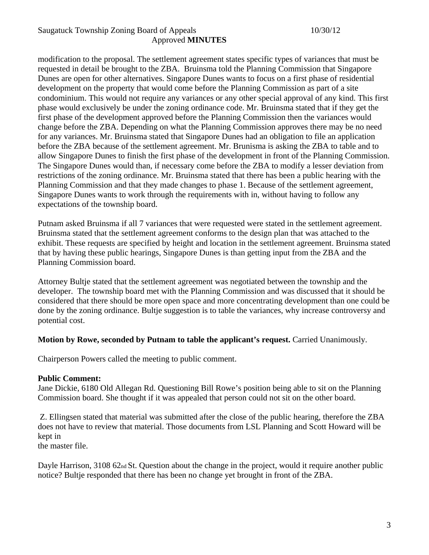# Saugatuck Township Zoning Board of Appeals 10/30/12 Approved **MINUTES**

modification to the proposal. The settlement agreement states specific types of variances that must be requested in detail be brought to the ZBA. Bruinsma told the Planning Commission that Singapore Dunes are open for other alternatives. Singapore Dunes wants to focus on a first phase of residential development on the property that would come before the Planning Commission as part of a site condominium. This would not require any variances or any other special approval of any kind. This first phase would exclusively be under the zoning ordinance code. Mr. Bruinsma stated that if they get the first phase of the development approved before the Planning Commission then the variances would change before the ZBA. Depending on what the Planning Commission approves there may be no need for any variances. Mr. Bruinsma stated that Singapore Dunes had an obligation to file an application before the ZBA because of the settlement agreement. Mr. Brunisma is asking the ZBA to table and to allow Singapore Dunes to finish the first phase of the development in front of the Planning Commission. The Singapore Dunes would than, if necessary come before the ZBA to modify a lesser deviation from restrictions of the zoning ordinance. Mr. Bruinsma stated that there has been a public hearing with the Planning Commission and that they made changes to phase 1. Because of the settlement agreement, Singapore Dunes wants to work through the requirements with in, without having to follow any expectations of the township board.

Putnam asked Bruinsma if all 7 variances that were requested were stated in the settlement agreement. Bruinsma stated that the settlement agreement conforms to the design plan that was attached to the exhibit. These requests are specified by height and location in the settlement agreement. Bruinsma stated that by having these public hearings, Singapore Dunes is than getting input from the ZBA and the Planning Commission board.

Attorney Bultje stated that the settlement agreement was negotiated between the township and the developer. The township board met with the Planning Commission and was discussed that it should be considered that there should be more open space and more concentrating development than one could be done by the zoning ordinance. Bultje suggestion is to table the variances, why increase controversy and potential cost.

## **Motion by Rowe, seconded by Putnam to table the applicant's request.** Carried Unanimously.

Chairperson Powers called the meeting to public comment.

#### **Public Comment:**

Jane Dickie, 6180 Old Allegan Rd. Questioning Bill Rowe's position being able to sit on the Planning Commission board. She thought if it was appealed that person could not sit on the other board.

 Z. Ellingsen stated that material was submitted after the close of the public hearing, therefore the ZBA does not have to review that material. Those documents from LSL Planning and Scott Howard will be kept in

the master file.

Dayle Harrison, 3108 62<sub>nd</sub> St. Question about the change in the project, would it require another public notice? Bultje responded that there has been no change yet brought in front of the ZBA.